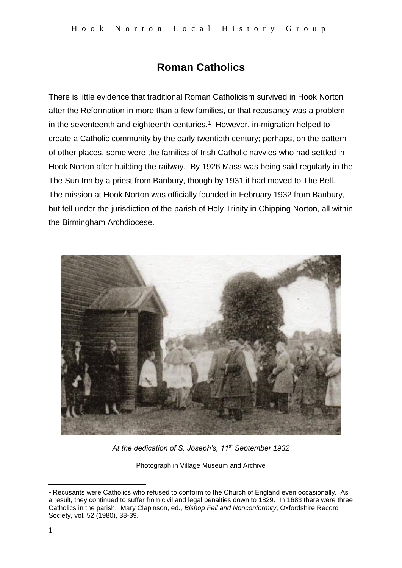## **Roman Catholics**

There is little evidence that traditional Roman Catholicism survived in Hook Norton after the Reformation in more than a few families, or that recusancy was a problem in the seventeenth and eighteenth centuries. $1$  However, in-migration helped to create a Catholic community by the early twentieth century; perhaps, on the pattern of other places, some were the families of Irish Catholic navvies who had settled in Hook Norton after building the railway. By 1926 Mass was being said regularly in the The Sun Inn by a priest from Banbury, though by 1931 it had moved to The Bell. The mission at Hook Norton was officially founded in February 1932 from Banbury, but fell under the jurisdiction of the parish of Holy Trinity in Chipping Norton, all within the Birmingham Archdiocese.



*At the dedication of S. Joseph's, 11th September 1932*

Photograph in Village Museum and Archive

1

<sup>1</sup> Recusants were Catholics who refused to conform to the Church of England even occasionally. As a result, they continued to suffer from civil and legal penalties down to 1829. In 1683 there were three Catholics in the parish. Mary Clapinson, ed., *Bishop Fell and Nonconformity*, Oxfordshire Record Society, vol. 52 (1980), 38-39.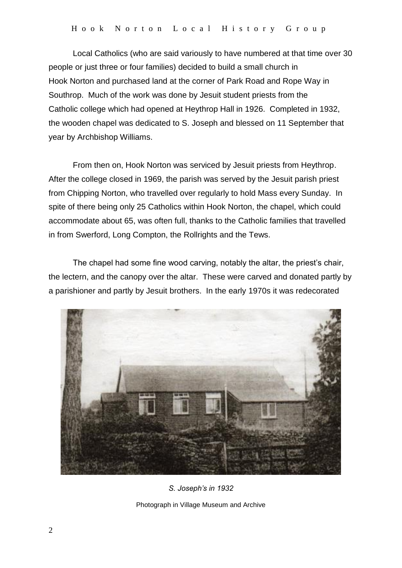Local Catholics (who are said variously to have numbered at that time over 30 people or just three or four families) decided to build a small church in Hook Norton and purchased land at the corner of Park Road and Rope Way in Southrop. Much of the work was done by Jesuit student priests from the Catholic college which had opened at Heythrop Hall in 1926. Completed in 1932, the wooden chapel was dedicated to S. Joseph and blessed on 11 September that year by Archbishop Williams.

From then on, Hook Norton was serviced by Jesuit priests from Heythrop. After the college closed in 1969, the parish was served by the Jesuit parish priest from Chipping Norton, who travelled over regularly to hold Mass every Sunday. In spite of there being only 25 Catholics within Hook Norton, the chapel, which could accommodate about 65, was often full, thanks to the Catholic families that travelled in from Swerford, Long Compton, the Rollrights and the Tews.

The chapel had some fine wood carving, notably the altar, the priest's chair, the lectern, and the canopy over the altar. These were carved and donated partly by a parishioner and partly by Jesuit brothers. In the early 1970s it was redecorated



*S. Joseph's in 1932* Photograph in Village Museum and Archive

2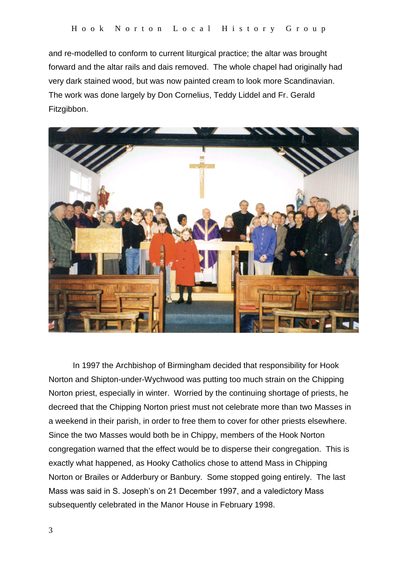and re-modelled to conform to current liturgical practice; the altar was brought forward and the altar rails and dais removed. The whole chapel had originally had very dark stained wood, but was now painted cream to look more Scandinavian. The work was done largely by Don Cornelius, Teddy Liddel and Fr. Gerald Fitzgibbon.



In 1997 the Archbishop of Birmingham decided that responsibility for Hook Norton and Shipton-under-Wychwood was putting too much strain on the Chipping Norton priest, especially in winter. Worried by the continuing shortage of priests, he decreed that the Chipping Norton priest must not celebrate more than two Masses in a weekend in their parish, in order to free them to cover for other priests elsewhere. Since the two Masses would both be in Chippy, members of the Hook Norton congregation warned that the effect would be to disperse their congregation. This is exactly what happened, as Hooky Catholics chose to attend Mass in Chipping Norton or Brailes or Adderbury or Banbury. Some stopped going entirely. The last Mass was said in S. Joseph's on 21 December 1997, and a valedictory Mass subsequently celebrated in the Manor House in February 1998.